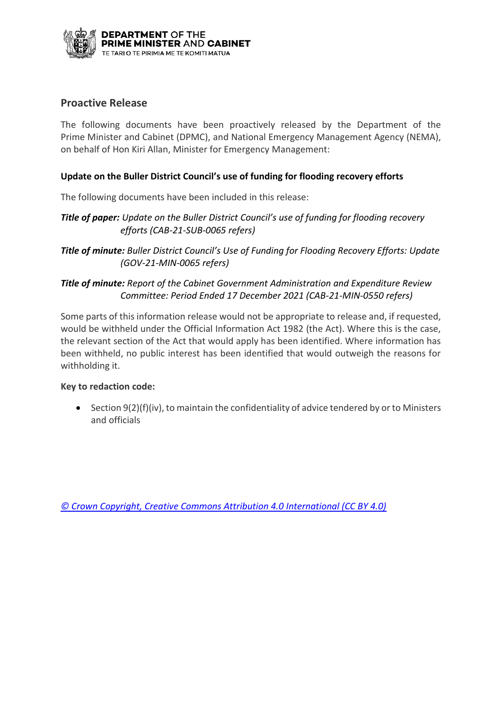

### **Proactive Release**

The following documents have been proactively released by the Department of the Prime Minister and Cabinet (DPMC), and National Emergency Management Agency (NEMA), on behalf of Hon Kiri Allan, Minister for Emergency Management:

#### **Update on the Buller District Council's use of funding for flooding recovery efforts**

The following documents have been included in this release:

- **Title of paper:** Update on the Buller District Council's use of funding for flooding recovery *efforts (CAB-21-SUB-0065 refers)*
- *Title of minute: Buller District Council's Use of Funding for Flooding Recovery Efforts: Update (GOV-21-MIN-0065 refers)*

#### *Title of minute: Report of the Cabinet Government Administration and Expenditure Review Committee: Period Ended 17 December 2021 (CAB-21-MIN-0550 refers)*

Some parts of this information release would not be appropriate to release and, if requested, would be withheld under the Official Information Act 1982 (the Act). Where this is the case, the relevant section of the Act that would apply has been identified. Where information has been withheld, no public interest has been identified that would outweigh the reasons for withholding it.

#### **Key to redaction code:**

• Section 9(2)(f)(iv), to maintain the confidentiality of advice tendered by or to Ministers and officials

*[© Crown Copyright, Creative Commons Attribution 4.0 International \(CC BY 4.0\)](https://creativecommons.org/licenses/by/4.0/)*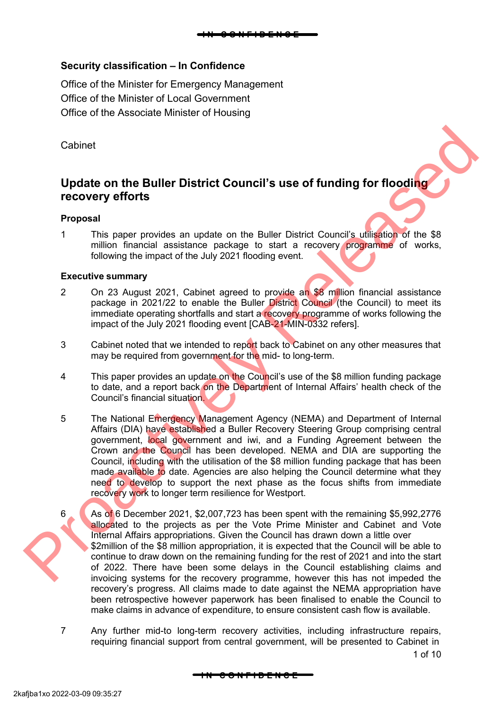

### **Security classification – In Confidence**

Office of the Minister for Emergency Management Office of the Minister of Local Government Office of the Associate Minister of Housing

Cabinet

## **Update on the Buller District Council's use of funding for flooding recovery efforts**

#### **Proposal**

1 This paper provides an update on the Buller District Council's utilisation of the \$8 million financial assistance package to start a recovery programme of works, following the impact of the July 2021 flooding event.

#### **Executive summary**

- 2 On 23 August 2021, Cabinet agreed to provide an \$8 million financial assistance package in 2021/22 to enable the Buller District Council (the Council) to meet its immediate operating shortfalls and start a recovery programme of works following the impact of the July 2021 flooding event [CAB-21-MIN-0332 refers].
- 3 Cabinet noted that we intended to report back to Cabinet on any other measures that may be required from government for the mid- to long-term.
- 4 This paper provides an update on the Council's use of the \$8 million funding package to date, and a report back on the Department of Internal Affairs' health check of the Council's financial situation.
- 5 The National Emergency Management Agency (NEMA) and Department of Internal Affairs (DIA) have established a Buller Recovery Steering Group comprising central government, local government and iwi, and a Funding Agreement between the Crown and the Council has been developed. NEMA and DIA are supporting the Council, including with the utilisation of the \$8 million funding package that has been made available to date. Agencies are also helping the Council determine what they need to develop to support the next phase as the focus shifts from immediate recovery work to longer term resilience for Westport. Cabinet<br>
Update on the Buller District Council's use of funding for flooding<br>
recovery efforts<br>
Proposal<br>
1 This paper provides an update on the Buller District Council's utilisehop of the \$8<br>
million financial assistance
	- 6 As of 6 December 2021, \$2,007,723 has been spent with the remaining \$5,992,2776 allocated to the projects as per the Vote Prime Minister and Cabinet and Vote Internal Affairs appropriations. Given the Council has drawn down a little over \$2million of the \$8 million appropriation, it is expected that the Council will be able to continue to draw down on the remaining funding for the rest of 2021 and into the start of 2022. There have been some delays in the Council establishing claims and invoicing systems for the recovery programme, however this has not impeded the recovery's progress. All claims made to date against the NEMA appropriation have been retrospective however paperwork has been finalised to enable the Council to make claims in advance of expenditure, to ensure consistent cash flow is available.
	- 7 Any further mid-to long-term recovery activities, including infrastructure repairs, requiring financial support from central government, will be presented to Cabinet in

1 of 10

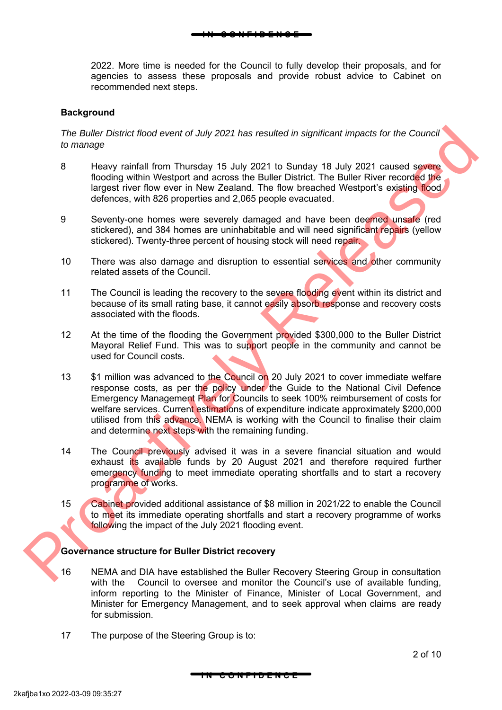2022. More time is needed for the Council to fully develop their proposals, and for agencies to assess these proposals and provide robust advice to Cabinet on recommended next steps.

**I N C O N F I D E N C E**

#### **Background**

#### *The Buller District flood event of July 2021 has resulted in significant impacts for the Council to manage*

- 8 Heavy rainfall from Thursday 15 July 2021 to Sunday 18 July 2021 caused severe flooding within Westport and across the Buller District. The Buller River recorded the largest river flow ever in New Zealand. The flow breached Westport's existing flood defences, with 826 properties and 2,065 people evacuated.
- 9 Seventy-one homes were severely damaged and have been deemed unsafe (red stickered), and 384 homes are uninhabitable and will need significant repairs (yellow stickered). Twenty-three percent of housing stock will need repair.
- 10 There was also damage and disruption to essential services and other community related assets of the Council.
- 11 The Council is leading the recovery to the severe flooding event within its district and because of its small rating base, it cannot easily absorb response and recovery costs associated with the floods.
- 12 At the time of the flooding the Government provided \$300,000 to the Buller District Mayoral Relief Fund. This was to support people in the community and cannot be used for Council costs.
- 13 \$1 million was advanced to the Council on 20 July 2021 to cover immediate welfare response costs, as per the policy under the Guide to the National Civil Defence Emergency Management Plan for Councils to seek 100% reimbursement of costs for welfare services. Current estimations of expenditure indicate approximately \$200,000 utilised from this advance. NEMA is working with the Council to finalise their claim and determine next steps with the remaining funding. The *Buller District flood event of July 2021* has resulted in significant impacts for the Council<br>16 manage Heavy rathfall from Thursday 15 July 2021 to Sunday 18 July 2021 caused severe<br>16 model within Westpot and across
	- 14 The Council previously advised it was in a severe financial situation and would exhaust its available funds by 20 August 2021 and therefore required further emergency funding to meet immediate operating shortfalls and to start a recovery programme of works.
	- 15 Cabinet provided additional assistance of \$8 million in 2021/22 to enable the Council to meet its immediate operating shortfalls and start a recovery programme of works following the impact of the July 2021 flooding event.

#### **Governance structure for Buller District recovery**

16 NEMA and DIA have established the Buller Recovery Steering Group in consultation with the Council to oversee and monitor the Council's use of available funding, inform reporting to the Minister of Finance, Minister of Local Government, and Minister for Emergency Management, and to seek approval when claims are ready for submission.

**I N C O N F I D E N C E**

17 The purpose of the Steering Group is to: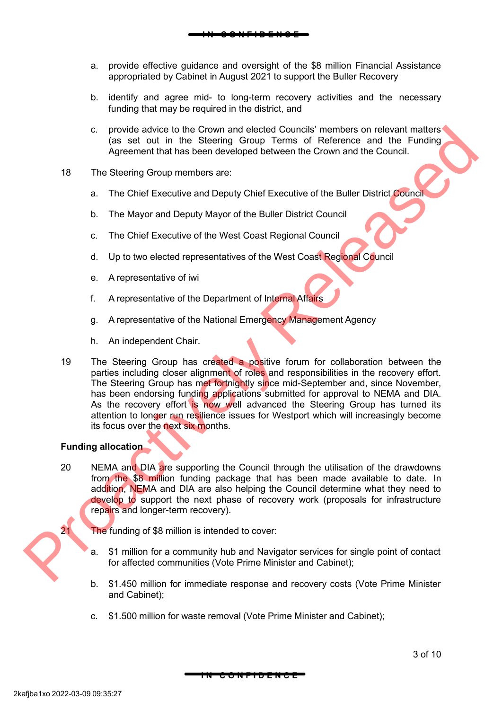**I N C O N F I D E N C E**

- b. identify and agree mid- to long-term recovery activities and the necessary funding that may be required in the district, and
- c. provide advice to the Crown and elected Councils' members on relevant matters (as set out in the Steering Group Terms of Reference and the Funding Agreement that has been developed between the Crown and the Council.
- 18 The Steering Group members are:
	- a. The Chief Executive and Deputy Chief Executive of the Buller District Council
	- b. The Mayor and Deputy Mayor of the Buller District Council
	- c. The Chief Executive of the West Coast Regional Council
	- d. Up to two elected representatives of the West Coast Regional Council
	- e. A representative of iwi
	- f. A representative of the Department of Internal Affairs
	- g. A representative of the National Emergency Management Agency
	- h. An independent Chair.
- 19 The Steering Group has created a positive forum for collaboration between the parties including closer alignment of roles and responsibilities in the recovery effort. The Steering Group has met fortnightly since mid-September and, since November, has been endorsing funding applications submitted for approval to NEMA and DIA. As the recovery effort is now well advanced the Steering Group has turned its attention to longer run resilience issues for Westport which will increasingly become its focus over the next six months. Convention and elected Council interests of the Council interests of restrictions<br>
(as set out in the Steering Group Terms of Reference and the Funding<br>
Agreement that has been developed between the Crown and the Council<br>

#### **Funding allocation**

20 NEMA and DIA are supporting the Council through the utilisation of the drawdowns from the \$8 million funding package that has been made available to date. In addition, NEMA and DIA are also helping the Council determine what they need to develop to support the next phase of recovery work (proposals for infrastructure repairs and longer-term recovery).

21 The funding of \$8 million is intended to cover:

- a. \$1 million for a community hub and Navigator services for single point of contact for affected communities (Vote Prime Minister and Cabinet);
- b. \$1.450 million for immediate response and recovery costs (Vote Prime Minister and Cabinet);

**I N C O N F I D E N C E**

c. \$1.500 million for waste removal (Vote Prime Minister and Cabinet);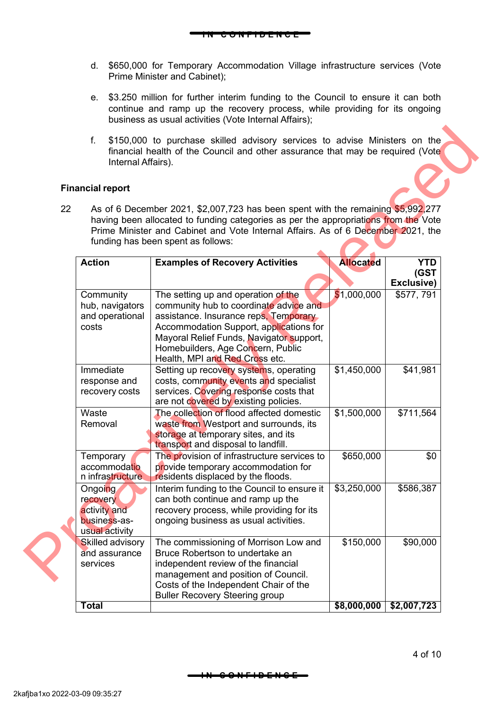d. \$650,000 for Temporary Accommodation Village infrastructure services (Vote Prime Minister and Cabinet);

**I N C O N F I D E N C E**

- e. \$3.250 million for further interim funding to the Council to ensure it can both continue and ramp up the recovery process, while providing for its ongoing business as usual activities (Vote Internal Affairs);
- f. \$150,000 to purchase skilled advisory services to advise Ministers on the financial health of the Council and other assurance that may be required (Vote Internal Affairs).

#### **Financial report**

| <b>Financial report</b><br>22                                         | As of 6 December 2021, \$2,007,723 has been spent with the remaining \$5,992,277<br>having been allocated to funding categories as per the appropriations from the Vote<br>Prime Minister and Cabinet and Vote Internal Affairs. As of 6 December 2021, the<br>funding has been spent as follows: |                  |                                  |
|-----------------------------------------------------------------------|---------------------------------------------------------------------------------------------------------------------------------------------------------------------------------------------------------------------------------------------------------------------------------------------------|------------------|----------------------------------|
| <b>Action</b>                                                         | <b>Examples of Recovery Activities</b>                                                                                                                                                                                                                                                            | <b>Allocated</b> | <b>YTD</b><br>(GST<br>Exclusive) |
| Community<br>hub, navigators<br>and operational<br>costs              | The setting up and operation of the<br>community hub to coordinate advice and<br>assistance. Insurance reps, Temporary<br>Accommodation Support, applications for<br>Mayoral Relief Funds, Navigator support,<br>Homebuilders, Age Concern, Public<br>Health, MPI and Red Cross etc.              | \$1,000,000      | \$577,791                        |
| Immediate<br>response and<br>recovery costs                           | Setting up recovery systems, operating<br>costs, community events and specialist<br>services. Covering response costs that<br>are not covered by existing policies.                                                                                                                               | \$1,450,000      | \$41,981                         |
| Waste<br>Removal                                                      | The collection of flood affected domestic<br>waste from Westport and surrounds, its<br>storage at temporary sites, and its<br>transport and disposal to landfill.                                                                                                                                 | \$1,500,000      | \$711,564                        |
| Temporary<br>accommodatio<br>n infrastructure                         | The provision of infrastructure services to<br>provide temporary accommodation for<br>residents displaced by the floods.                                                                                                                                                                          | \$650,000        | \$0                              |
| Ongoing<br>recovery<br>activity and<br>business-as-<br>usual activity | Interim funding to the Council to ensure it<br>can both continue and ramp up the<br>recovery process, while providing for its<br>ongoing business as usual activities.                                                                                                                            | \$3,250,000      | \$586,387                        |
| Skilled advisory<br>and assurance<br>services                         | The commissioning of Morrison Low and<br>Bruce Robertson to undertake an<br>independent review of the financial<br>management and position of Council.<br>Costs of the Independent Chair of the<br><b>Buller Recovery Steering group</b>                                                          | \$150,000        | \$90,000                         |
| <b>Total</b>                                                          |                                                                                                                                                                                                                                                                                                   | \$8,000,000      | \$2,007,723                      |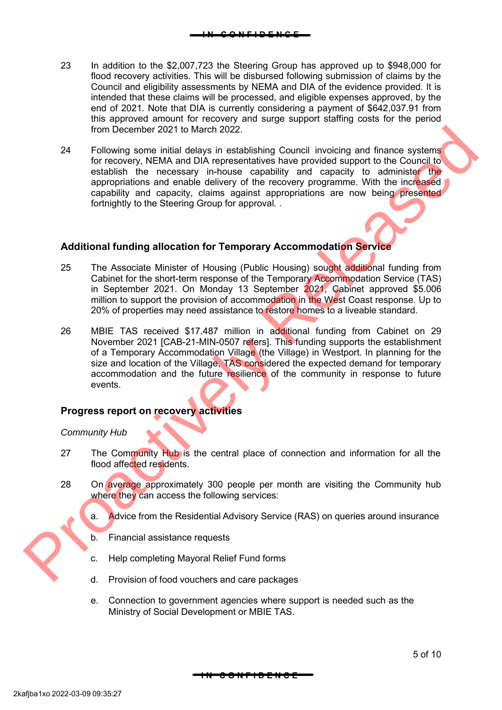- 23 In addition to the \$2,007,723 the Steering Group has approved up to \$948,000 for flood recovery activities. This will be disbursed following submission of claims by the Council and eligibility assessments by NEMA and DIA of the evidence provided. It is intended that these claims will be processed, and eligible expenses approved, by the end of 2021. Note that DIA is currently considering a payment of \$642,037.91 from this approved amount for recovery and surge support staffing costs for the period from December 2021 to March 2022.
- 24 Following some initial delays in establishing Council invoicing and finance systems for recovery, NEMA and DIA representatives have provided support to the Council to establish the necessary in-house capability and capacity to administer the appropriations and enable delivery of the recovery programme. With the increased capability and capacity, claims against appropriations are now being presented fortnightly to the Steering Group for approval. .

#### **Additional funding allocation for Temporary Accommodation Service**

- 25 The Associate Minister of Housing (Public Housing) sought additional funding from Cabinet for the short-term response of the Temporary Accommodation Service (TAS) in September 2021. On Monday 13 September 2021, Cabinet approved \$5.006 million to support the provision of accommodation in the West Coast response. Up to 20% of properties may need assistance to restore homes to a liveable standard.
- 26 MBIE TAS received \$17.487 million in additional funding from Cabinet on 29 November 2021 [CAB-21-MIN-0507 refers]. This funding supports the establishment of a Temporary Accommodation Village (the Village) in Westport. In planning for the size and location of the Village, TAS considered the expected demand for temporary accommodation and the future resilience of the community in response to future events. From December 2021 to March 2022.<br>
For the main particular delay in establishing Council invoking and finance systems<br>
For the move and enable delivery of the recovery programme. With the included<br>
experimental delivery of

#### **Progress report on recovery activities**

#### *Community Hub*

- 27 The Community Hub is the central place of connection and information for all the flood affected residents.
- 28 On average approximately 300 people per month are visiting the Community hub where they can access the following services:
	- a. Advice from the Residential Advisory Service (RAS) on queries around insurance
	- b. Financial assistance requests
	- c. Help completing Mayoral Relief Fund forms
	- d. Provision of food vouchers and care packages
	- e. Connection to government agencies where support is needed such as the Ministry of Social Development or MBIE TAS.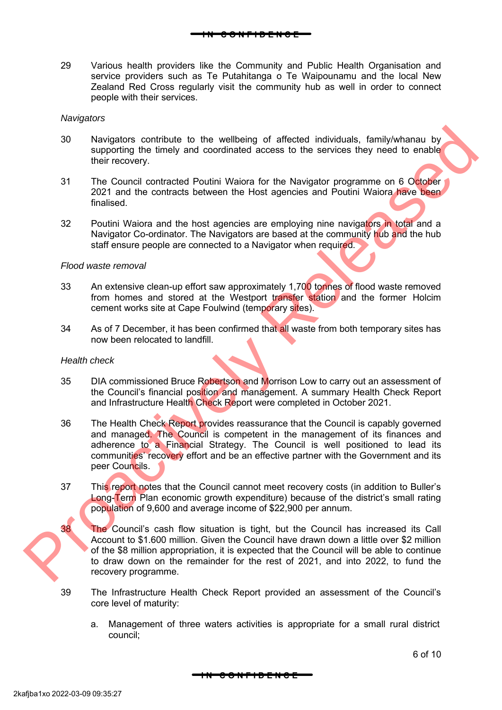**I N C O N F I D E N C E**

#### service providers such as Te Putahitanga o Te Waipounamu and the local New Zealand Red Cross regularly visit the community hub as well in order to connect people with their services.

#### *Navigators*

- 30 Navigators contribute to the wellbeing of affected individuals, family/whanau by supporting the timely and coordinated access to the services they need to enable their recovery.
- 31 The Council contracted Poutini Waiora for the Navigator programme on 6 October 2021 and the contracts between the Host agencies and Poutini Waiora have been finalised.
- 32 Poutini Waiora and the host agencies are employing nine navigators in total and a Navigator Co-ordinator. The Navigators are based at the community hub and the hub staff ensure people are connected to a Navigator when required.

#### *Flood waste removal*

- 33 An extensive clean-up effort saw approximately 1,700 tonnes of flood waste removed from homes and stored at the Westport transfer station and the former Holcim cement works site at Cape Foulwind (temporary sites).
- 34 As of 7 December, it has been confirmed that all waste from both temporary sites has now been relocated to landfill.

#### *Health check*

- 35 DIA commissioned Bruce Robertson and Morrison Low to carry out an assessment of the Council's financial position and management. A summary Health Check Report and Infrastructure Health Check Report were completed in October 2021.
- 36 The Health Check Report provides reassurance that the Council is capably governed and managed. The Council is competent in the management of its finances and adherence to a Financial Strategy. The Council is well positioned to lead its communities' recovery effort and be an effective partner with the Government and its peer Councils. Newtgators contribute to the wellbeing of affected individuals, family-whanau by<br>supporting the timely and coordinated access to the services they need to enable<br>that the council contracted Poului Waion for the Navigator p
	- 37 This report notes that the Council cannot meet recovery costs (in addition to Buller's Long-Term Plan economic growth expenditure) because of the district's small rating population of 9,600 and average income of \$22,900 per annum.



38 The Council's cash flow situation is tight, but the Council has increased its Call Account to \$1.600 million. Given the Council have drawn down a little over \$2 million of the \$8 million appropriation, it is expected that the Council will be able to continue to draw down on the remainder for the rest of 2021, and into 2022, to fund the recovery programme.

- 39 The Infrastructure Health Check Report provided an assessment of the Council's core level of maturity:
	- a. Management of three waters activities is appropriate for a small rural district council;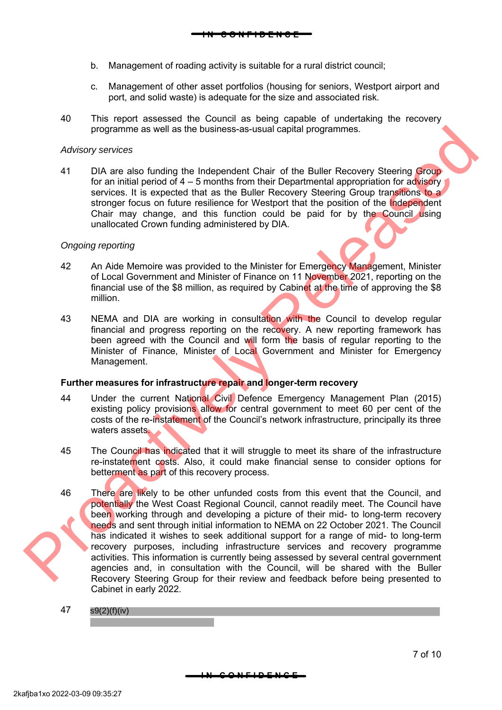- b. Management of roading activity is suitable for a rural district council;
- c. Management of other asset portfolios (housing for seniors, Westport airport and port, and solid waste) is adequate for the size and associated risk.
- 40 This report assessed the Council as being capable of undertaking the recovery programme as well as the business-as-usual capital programmes.

#### *Advisory services*

41 DIA are also funding the Independent Chair of the Buller Recovery Steering Group for an initial period of  $4 - 5$  months from their Departmental appropriation for advisory services. It is expected that as the Buller Recovery Steering Group transitions to a stronger focus on future resilience for Westport that the position of the Independent Chair may change, and this function could be paid for by the Council using unallocated Crown funding administered by DIA.

#### *Ongoing reporting*

- 42 An Aide Memoire was provided to the Minister for Emergency Management, Minister of Local Government and Minister of Finance on 11 November 2021, reporting on the financial use of the \$8 million, as required by Cabinet at the time of approving the \$8 million.
- 43 NEMA and DIA are working in consultation with the Council to develop regular financial and progress reporting on the recovery. A new reporting framework has been agreed with the Council and will form the basis of regular reporting to the Minister of Finance, Minister of Local Government and Minister for Emergency Management.

#### **Further measures for infrastructure repair and longer-term recovery**

- 44 Under the current National Civil Defence Emergency Management Plan (2015) existing policy provisions allow for central government to meet 60 per cent of the costs of the re-instatement of the Council's network infrastructure, principally its three waters assets.
- 45 The Council has indicated that it will struggle to meet its share of the infrastructure re-instatement costs. Also, it could make financial sense to consider options for betterment as part of this recovery process.
- 46 There are likely to be other unfunded costs from this event that the Council, and potentially the West Coast Regional Council, cannot readily meet. The Council have been working through and developing a picture of their mid- to long-term recovery needs and sent through initial information to NEMA on 22 October 2021. The Council has indicated it wishes to seek additional support for a range of mid- to long-term recovery purposes, including infrastructure services and recovery programme activities. This information is currently being assessed by several central government agencies and, in consultation with the Council, will be shared with the Buller Recovery Steering Group for their review and feedback before being presented to Cabinet in early 2022. Programma as well as the business-se-usual capital programmes.<br>
Analogy services. It is oxygended that as the Buller Recovery Steering Group<br>
for an initial period of 4 - 5 months from the Telepartonial appropriate of cont
	- 47 s9(2)(f)(iv)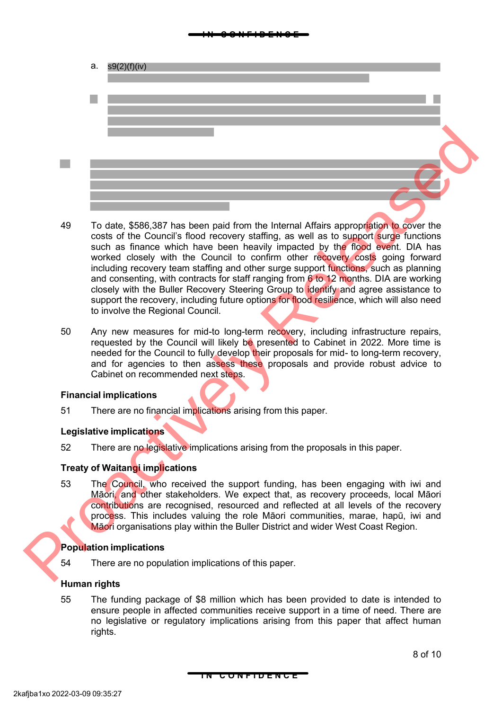#### **I N C O N F I D E N C E**

- a. s9(2)(f)(iv)
- 49 To date, \$586,387 has been paid from the Internal Affairs appropriation to cover the costs of the Council's flood recovery staffing, as well as to support surge functions such as finance which have been heavily impacted by the flood event. DIA has worked closely with the Council to confirm other recovery costs going forward including recovery team staffing and other surge support functions, such as planning and consenting, with contracts for staff ranging from  $6$  to 12 months. DIA are working closely with the Buller Recovery Steering Group to identify and agree assistance to support the recovery, including future options for flood resilience, which will also need to involve the Regional Council. 19 dates 586.387 has been paid from the internal Mais a proportion of the countries costs of the Council short ecovery starting, as well as to support strips and the beam internal Main space. DA has worked dosely with the
	- 50 Any new measures for mid-to long-term recovery, including infrastructure repairs, requested by the Council will likely be presented to Cabinet in 2022. More time is needed for the Council to fully develop their proposals for mid- to long-term recovery, and for agencies to then assess these proposals and provide robust advice to Cabinet on recommended next steps.

#### **Financial implications**

51 There are no financial implications arising from this paper.

#### **Legislative implications**

52 There are no legislative implications arising from the proposals in this paper.

#### **Treaty of Waitangi implications**

53 The Council, who received the support funding, has been engaging with iwi and Māori, and other stakeholders. We expect that, as recovery proceeds, local Māori contributions are recognised, resourced and reflected at all levels of the recovery process. This includes valuing the role Māori communities, marae, hapū, iwi and Māori organisations play within the Buller District and wider West Coast Region.

#### **Population implications**

54 There are no population implications of this paper.

#### **Human rights**

55 The funding package of \$8 million which has been provided to date is intended to ensure people in affected communities receive support in a time of need. There are no legislative or regulatory implications arising from this paper that affect human rights.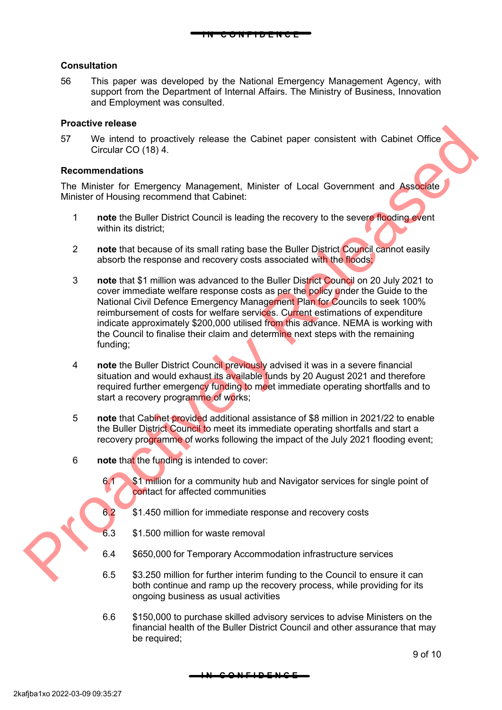#### **Consultation**

56 This paper was developed by the National Emergency Management Agency, with support from the Department of Internal Affairs. The Ministry of Business, Innovation and Employment was consulted.

**I N C O N F I D E N C E**

#### **Proactive release**

57 We intend to proactively release the Cabinet paper consistent with Cabinet Office Circular CO (18) 4.

#### **Recommendations**

The Minister for Emergency Management, Minister of Local Government and Associate Minister of Housing recommend that Cabinet:

- 1 **note** the Buller District Council is leading the recovery to the severe flooding event within its district:
- 2 **note** that because of its small rating base the Buller District Council cannot easily absorb the response and recovery costs associated with the floods;
- 3 **note** that \$1 million was advanced to the Buller District Council on 20 July 2021 to cover immediate welfare response costs as per the policy under the Guide to the National Civil Defence Emergency Management Plan for Councils to seek 100% reimbursement of costs for welfare services. Current estimations of expenditure indicate approximately \$200,000 utilised from this advance. NEMA is working with the Council to finalise their claim and determine next steps with the remaining funding; For We intend to practively release the Cabinet paper consistent with Cabinet Office<br>
For We intend to proactively release the Cabinet paper consistent with Cabinet Office<br>
The Minister for Emergency Management, Minister o
	- 4 **note** the Buller District Council previously advised it was in a severe financial situation and would exhaust its available funds by 20 August 2021 and therefore required further emergency funding to meet immediate operating shortfalls and to start a recovery programme of works;
	- 5 **note** that Cabinet provided additional assistance of \$8 million in 2021/22 to enable the Buller District Council to meet its immediate operating shortfalls and start a recovery programme of works following the impact of the July 2021 flooding event;
	- 6 **note** that the funding is intended to cover:
		- 6.1 \$1 million for a community hub and Navigator services for single point of contact for affected communities
		- 6.2 \$1.450 million for immediate response and recovery costs
		- 6.3 \$1.500 million for waste removal
		- 6.4 \$650,000 for Temporary Accommodation infrastructure services
		- 6.5 \$3.250 million for further interim funding to the Council to ensure it can both continue and ramp up the recovery process, while providing for its ongoing business as usual activities
		- 6.6 \$150,000 to purchase skilled advisory services to advise Ministers on the financial health of the Buller District Council and other assurance that may be required;

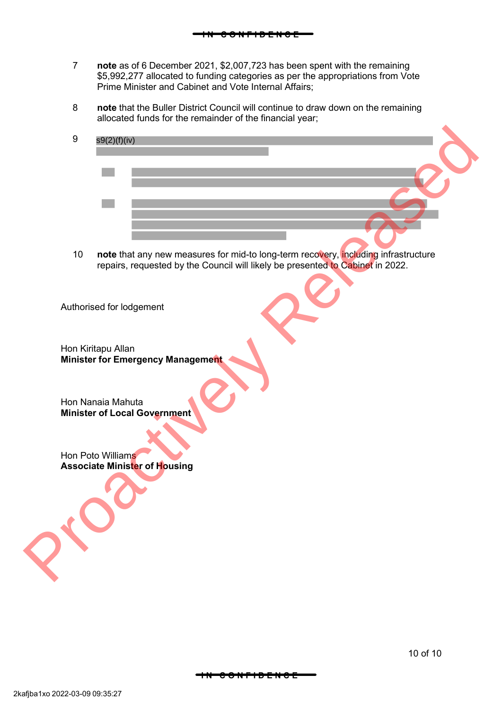7 **note** as of 6 December 2021, \$2,007,723 has been spent with the remaining \$5,992,277 allocated to funding categories as per the appropriations from Vote Prime Minister and Cabinet and Vote Internal Affairs;

**I N C O N F I D E N C E**

- 8 **note** that the Buller District Council will continue to draw down on the remaining allocated funds for the remainder of the financial year;
- 9 s9(2)(f)(iv) SIERING<br>
The that any new measures for mid-to long-term reciving<br>
The Council will likely be presented to Cabing in that<br>
Authorised for Iddgement<br>
Hon Kintagu Allan<br>
Minister of Local Government<br>
Hon Poto Williams<br>
Associ
	- 10 **note** that any new measures for mid-to long-term recovery, including infrastructure repairs, requested by the Council will likely be presented to Cabinet in 2022.

Authorised for lodgement

Hon Kiritapu Allan **Minister for Emergency Management**

Hon Nanaia Mahuta **Minister of Local Government**

Hon Poto Williams **Associate Minister of Housing**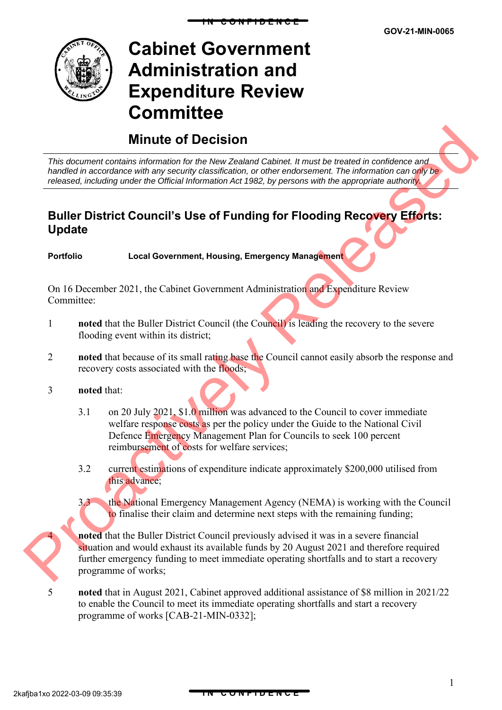

# **Cabinet Government Administration and Expenditure Review Committee**

## **Minute of Decision**

*This document contains information for the New Zealand Cabinet. It must be treated in confidence and handled in accordance with any security classification, or other endorsement. The information can only be released, including under the Official Information Act 1982, by persons with the appropriate authority.*

**I N C O N F I D E N C E**

## **Buller District Council's Use of Funding for Flooding Recovery Efforts: Update**

**Portfolio Local Government, Housing, Emergency Management**

On 16 December 2021, the Cabinet Government Administration and Expenditure Review Committee:

- 1 **noted** that the Buller District Council (the Council) is leading the recovery to the severe flooding event within its district;
- 2 **noted** that because of its small rating base the Council cannot easily absorb the response and recovery costs associated with the floods;

#### 3 **noted** that:

- 3.1 on 20 July 2021, \$1.0 million was advanced to the Council to cover immediate welfare response costs as per the policy under the Guide to the National Civil Defence Emergency Management Plan for Councils to seek 100 percent reimbursement of costs for welfare services;
- 3.2 current estimations of expenditure indicate approximately \$200,000 utilised from this advance;

3.3 the National Emergency Management Agency (NEMA) is working with the Council to finalise their claim and determine next steps with the remaining funding;



noted that the Buller District Council previously advised it was in a severe financial situation and would exhaust its available funds by 20 August 2021 and therefore required further emergency funding to meet immediate operating shortfalls and to start a recovery programme of works; **Statement contains information for the development Coloring Release of the confidence and the development Coloring Coloring Coloring Contains and the coloring conduction of the coloring conduction of the color of the col** 

5 **noted** that in August 2021, Cabinet approved additional assistance of \$8 million in 2021/22 to enable the Council to meet its immediate operating shortfalls and start a recovery programme of works [CAB-21-MIN-0332];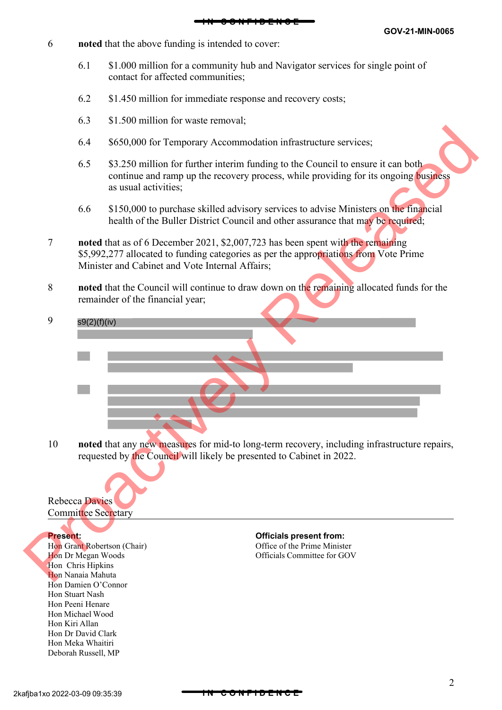- 6 **noted** that the above funding is intended to cover:
	- 6.1 \$1.000 million for a community hub and Navigator services for single point of contact for affected communities;
	- 6.2 \$1.450 million for immediate response and recovery costs;
	- 6.3 \$1.500 million for waste removal;
	- 6.4 \$650,000 for Temporary Accommodation infrastructure services;
	- 6.5 \$3.250 million for further interim funding to the Council to ensure it can both continue and ramp up the recovery process, while providing for its ongoing business as usual activities;
	- 6.6 \$150,000 to purchase skilled advisory services to advise Ministers on the financial health of the Buller District Council and other assurance that may be required;
- 7 **noted** that as of 6 December 2021, \$2,007,723 has been spent with the remaining \$5,992,277 allocated to funding categories as per the appropriations from Vote Prime Minister and Cabinet and Vote Internal Affairs; 6.4 \$650,000 for Temporary Accommodation infrastracture services;<br>
6.5 \$3.250 million for further interim funding to the Council to ensure it can both<br>
continue and many up the recovery process, while providing for its on
	- 8 **noted** that the Council will continue to draw down on the remaining allocated funds for the remainder of the financial year;
	- 9 s9(2)(f)(iv)

10 **noted** that any new measures for mid-to long-term recovery, including infrastructure repairs, requested by the Council will likely be presented to Cabinet in 2022.

#### Rebecca Davies Committee Secretary

Hon Grant Robertson (Chair) Hon Dr Megan Woods Hon Chris Hipkins Hon Nanaia Mahuta Hon Damien O'Connor Hon Stuart Nash Hon Peeni Henare Hon Michael Wood Hon Kiri Allan Hon Dr David Clark Hon Meka Whaitiri Deborah Russell, MP

**Present: Officials present from:** Office of the Prime Minister Officials Committee for GOV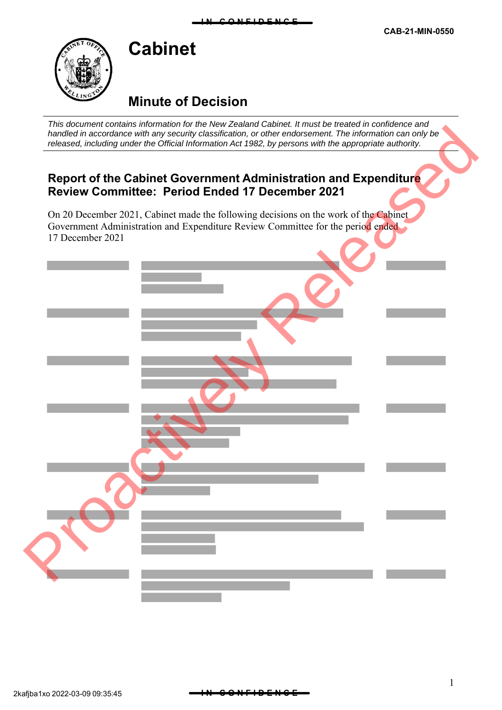## **Minute of Decision**

**Cabinet**

*This document contains information for the New Zealand Cabinet. It must be treated in confidence and handled in accordance with any security classification, or other endorsement. The information can only be released, including under the Official Information Act 1982, by persons with the appropriate authority.*

## **Report of the Cabinet Government Administration and Expenditure Review Committee: Period Ended 17 December 2021**

On 20 December 2021, Cabinet made the following decisions on the work of the Cabinet Government Administration and Expenditure Review Committee for the period ended 17 December 2021